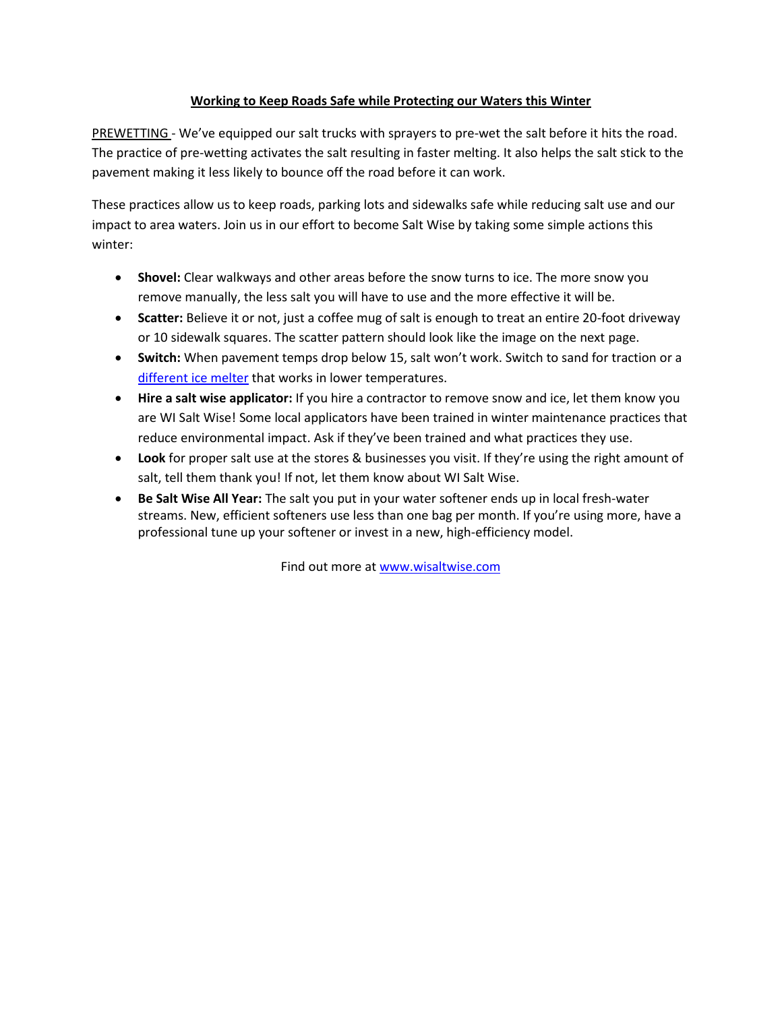## **Working to Keep Roads Safe while Protecting our Waters this Winter**

PREWETTING - We've equipped our salt trucks with sprayers to pre-wet the salt before it hits the road. The practice of pre-wetting activates the salt resulting in faster melting. It also helps the salt stick to the pavement making it less likely to bounce off the road before it can work.

These practices allow us to keep roads, parking lots and sidewalks safe while reducing salt use and our impact to area waters. Join us in our effort to become Salt Wise by taking some simple actions this winter:

- **Shovel:** Clear walkways and other areas before the snow turns to ice. The more snow you remove manually, the less salt you will have to use and the more effective it will be.
- **Scatter:** Believe it or not, just a coffee mug of salt is enough to treat an entire 20-foot driveway or 10 sidewalk squares. The scatter pattern should look like the image on the next page.
- **Switch:** When pavement temps drop below 15, salt won't work. Switch to sand for traction or a [different ice melter](https://www.pca.state.mn.us/sites/default/files/p-tr1-20.pdf) that works in lower temperatures.
- **Hire a salt wise applicator:** If you hire a contractor to remove snow and ice, let them know you are WI Salt Wise! Some local applicators have been trained in winter maintenance practices that reduce environmental impact. Ask if they've been trained and what practices they use.
- **Look** for proper salt use at the stores & businesses you visit. If they're using the right amount of salt, tell them thank you! If not, let them know about WI Salt Wise.
- **Be Salt Wise All Year:** The salt you put in your water softener ends up in local fresh-water streams. New, efficient softeners use less than one bag per month. If you're using more, have a professional tune up your softener or invest in a new, high-efficiency model.

Find out more at [www.wisaltwise.com](http://www.wisaltwise.com/)